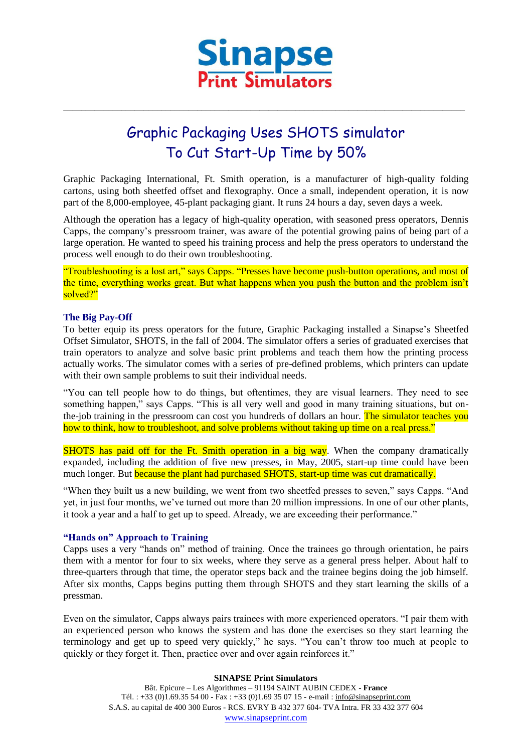

\_\_\_\_\_\_\_\_\_\_\_\_\_\_\_\_\_\_\_\_\_\_\_\_\_\_\_\_\_\_\_\_\_\_\_\_\_\_\_\_\_\_\_\_\_\_\_\_\_\_\_\_\_\_\_\_\_\_\_\_\_\_\_\_\_\_\_\_\_\_\_\_\_\_\_\_\_\_\_\_\_\_\_\_\_\_\_\_\_\_

# Graphic Packaging Uses SHOTS simulator To Cut Start-Up Time by 50%

Graphic Packaging International, Ft. Smith operation, is a manufacturer of high-quality folding cartons, using both sheetfed offset and flexography. Once a small, independent operation, it is now part of the 8,000-employee, 45-plant packaging giant. It runs 24 hours a day, seven days a week.

Although the operation has a legacy of high-quality operation, with seasoned press operators, Dennis Capps, the company's pressroom trainer, was aware of the potential growing pains of being part of a large operation. He wanted to speed his training process and help the press operators to understand the process well enough to do their own troubleshooting.

"Troubleshooting is a lost art," says Capps. "Presses have become push-button operations, and most of the time, everything works great. But what happens when you push the button and the problem isn't solved?"

# **The Big Pay-Off**

To better equip its press operators for the future, Graphic Packaging installed a Sinapse's Sheetfed Offset Simulator, SHOTS, in the fall of 2004. The simulator offers a series of graduated exercises that train operators to analyze and solve basic print problems and teach them how the printing process actually works. The simulator comes with a series of pre-defined problems, which printers can update with their own sample problems to suit their individual needs.

"You can tell people how to do things, but oftentimes, they are visual learners. They need to see something happen," says Capps. "This is all very well and good in many training situations, but onthe-job training in the pressroom can cost you hundreds of dollars an hour. The simulator teaches you how to think, how to troubleshoot, and solve problems without taking up time on a real press."

SHOTS has paid off for the Ft. Smith operation in a big way. When the company dramatically expanded, including the addition of five new presses, in May, 2005, start-up time could have been much longer. But **because the plant had purchased SHOTS**, start-up time was cut dramatically.

"When they built us a new building, we went from two sheetfed presses to seven," says Capps. "And yet, in just four months, we've turned out more than 20 million impressions. In one of our other plants, it took a year and a half to get up to speed. Already, we are exceeding their performance."

# **"Hands on" Approach to Training**

Capps uses a very "hands on" method of training. Once the trainees go through orientation, he pairs them with a mentor for four to six weeks, where they serve as a general press helper. About half to three-quarters through that time, the operator steps back and the trainee begins doing the job himself. After six months, Capps begins putting them through SHOTS and they start learning the skills of a pressman.

Even on the simulator, Capps always pairs trainees with more experienced operators. "I pair them with an experienced person who knows the system and has done the exercises so they start learning the terminology and get up to speed very quickly," he says. "You can't throw too much at people to quickly or they forget it. Then, practice over and over again reinforces it."

> **SINAPSE Print Simulators** Bât. Epicure – Les Algorithmes – 91194 SAINT AUBIN CEDEX - **France** Tél. : +33 (0)1.69.35 54 00 - Fax : +33 (0)1.69 35 07 15 - e-mail : info@sinapseprint.com S.A.S. au capital de 400 300 Euros - RCS. EVRY B 432 377 604- TVA Intra. FR 33 432 377 604 [www.sinapseprint.com](http://www.sinapseprint.com/)